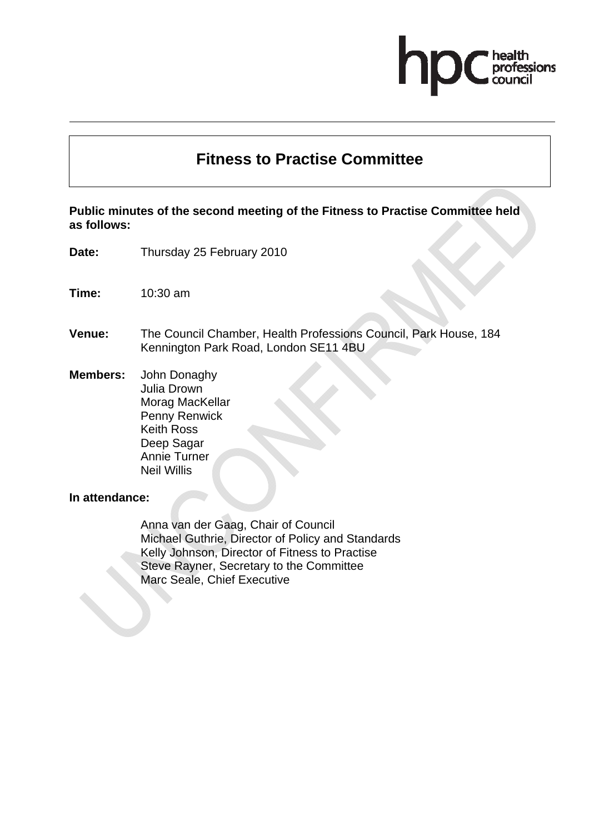# professions

# **Fitness to Practise Committee**

**Public minutes of the second meeting of the Fitness to Practise Committee held as follows:** 

- **Date:** Thursday 25 February 2010
- **Time:** 10:30 am
- **Venue:** The Council Chamber, Health Professions Council, Park House, 184 Kennington Park Road, London SE11 4BU

**Members:** John Donaghy Julia Drown Morag MacKellar Penny Renwick Keith Ross Deep Sagar Annie Turner Neil Willis

#### **In attendance:**

Anna van der Gaag, Chair of Council Michael Guthrie, Director of Policy and Standards Kelly Johnson, Director of Fitness to Practise Steve Rayner, Secretary to the Committee Marc Seale, Chief Executive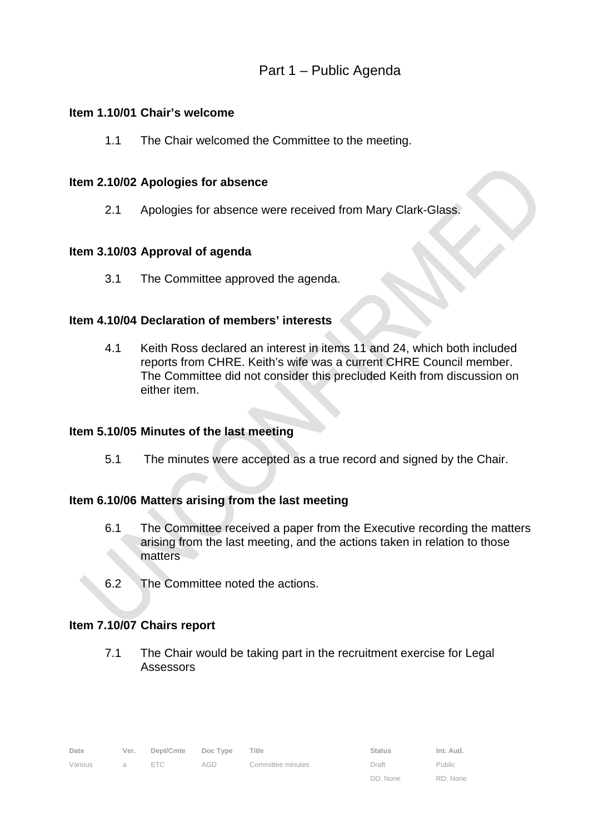# **Item 1.10/01 Chair's welcome**

1.1 The Chair welcomed the Committee to the meeting.

# **Item 2.10/02 Apologies for absence**

2.1 Apologies for absence were received from Mary Clark-Glass.

# **Item 3.10/03 Approval of agenda**

3.1 The Committee approved the agenda.

# **Item 4.10/04 Declaration of members' interests**

4.1 Keith Ross declared an interest in items 11 and 24, which both included reports from CHRE. Keith's wife was a current CHRE Council member. The Committee did not consider this precluded Keith from discussion on either item.

# **Item 5.10/05 Minutes of the last meeting**

5.1 The minutes were accepted as a true record and signed by the Chair.

# **Item 6.10/06 Matters arising from the last meeting**

- 6.1 The Committee received a paper from the Executive recording the matters arising from the last meeting, and the actions taken in relation to those matters
- 6.2 The Committee noted the actions.

# **Item 7.10/07 Chairs report**

7.1 The Chair would be taking part in the recruitment exercise for Legal Assessors

| Date    |     | Ver. Dept/Cmte Doc Type Title |     |                   | <b>Status</b> | Int. Aud. |
|---------|-----|-------------------------------|-----|-------------------|---------------|-----------|
| Various | a - | ETC                           | AGD | Committee minutes | Draft         | Public    |

Public RD: None

DD: None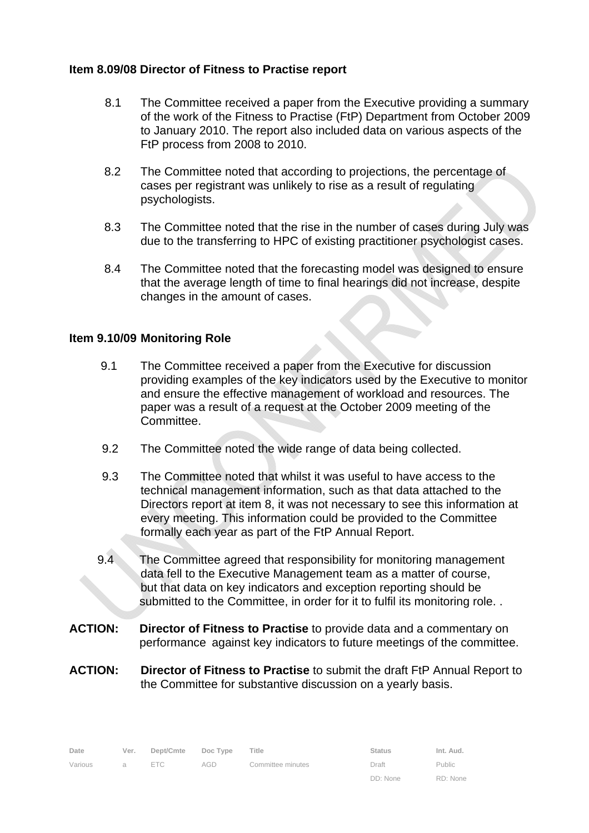# **Item 8.09/08 Director of Fitness to Practise report**

- 8.1 The Committee received a paper from the Executive providing a summary of the work of the Fitness to Practise (FtP) Department from October 2009 to January 2010. The report also included data on various aspects of the FtP process from 2008 to 2010.
- 8.2 The Committee noted that according to projections, the percentage of cases per registrant was unlikely to rise as a result of regulating psychologists.
- 8.3 The Committee noted that the rise in the number of cases during July was due to the transferring to HPC of existing practitioner psychologist cases.
- 8.4 The Committee noted that the forecasting model was designed to ensure that the average length of time to final hearings did not increase, despite changes in the amount of cases.

# **Item 9.10/09 Monitoring Role**

- 9.1 The Committee received a paper from the Executive for discussion providing examples of the key indicators used by the Executive to monitor and ensure the effective management of workload and resources. The paper was a result of a request at the October 2009 meeting of the Committee.
- 9.2 The Committee noted the wide range of data being collected.
- 9.3 The Committee noted that whilst it was useful to have access to the technical management information, such as that data attached to the Directors report at item 8, it was not necessary to see this information at every meeting. This information could be provided to the Committee formally each year as part of the FtP Annual Report.
- 9.4 The Committee agreed that responsibility for monitoring management data fell to the Executive Management team as a matter of course, but that data on key indicators and exception reporting should be submitted to the Committee, in order for it to fulfil its monitoring role..
- **ACTION: Director of Fitness to Practise** to provide data and a commentary on performance against key indicators to future meetings of the committee.
- **ACTION: Director of Fitness to Practise** to submit the draft FtP Annual Report to the Committee for substantive discussion on a yearly basis.

| Date    | Ver. | Dept/Cmte Doc Type |     | Title             | <b>Status</b> | Int. Aud. |
|---------|------|--------------------|-----|-------------------|---------------|-----------|
| Various | a a  | ETC                | AGD | Committee minutes | Draft         | Public    |
|         |      |                    |     |                   | DD: None      | RD: None  |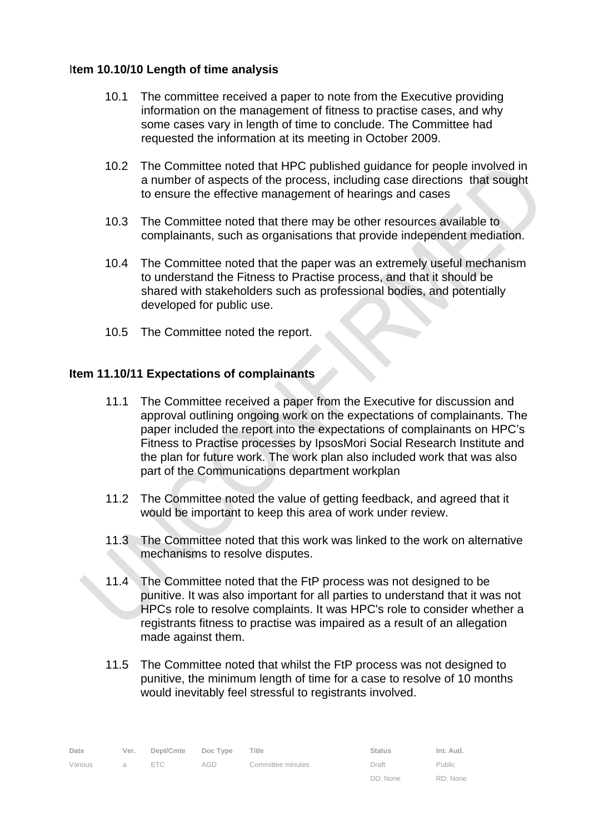# I**tem 10.10/10 Length of time analysis**

- 10.1 The committee received a paper to note from the Executive providing information on the management of fitness to practise cases, and why some cases vary in length of time to conclude. The Committee had requested the information at its meeting in October 2009.
- 10.2 The Committee noted that HPC published guidance for people involved in a number of aspects of the process, including case directions that sought to ensure the effective management of hearings and cases
- 10.3 The Committee noted that there may be other resources available to complainants, such as organisations that provide independent mediation.
- 10.4 The Committee noted that the paper was an extremely useful mechanism to understand the Fitness to Practise process, and that it should be shared with stakeholders such as professional bodies, and potentially developed for public use.
- 10.5 The Committee noted the report.

# **Item 11.10/11 Expectations of complainants**

- 11.1 The Committee received a paper from the Executive for discussion and approval outlining ongoing work on the expectations of complainants. The paper included the report into the expectations of complainants on HPC's Fitness to Practise processes by IpsosMori Social Research Institute and the plan for future work. The work plan also included work that was also part of the Communications department workplan
- 11.2 The Committee noted the value of getting feedback, and agreed that it would be important to keep this area of work under review.
- 11.3 The Committee noted that this work was linked to the work on alternative mechanisms to resolve disputes.
- 11.4 The Committee noted that the FtP process was not designed to be punitive. It was also important for all parties to understand that it was not HPCs role to resolve complaints. It was HPC's role to consider whether a registrants fitness to practise was impaired as a result of an allegation made against them.
- 11.5 The Committee noted that whilst the FtP process was not designed to punitive, the minimum length of time for a case to resolve of 10 months would inevitably feel stressful to registrants involved.

| Date    | Ver.     | Dept/Cmte Doc Type |     | Title             | <b>Status</b> | Int. Aud.     |
|---------|----------|--------------------|-----|-------------------|---------------|---------------|
| Various | $\alpha$ | ETC                | AGD | Committee minutes | Draft         | <b>Public</b> |
|         |          |                    |     |                   | DD: None      | RD: None      |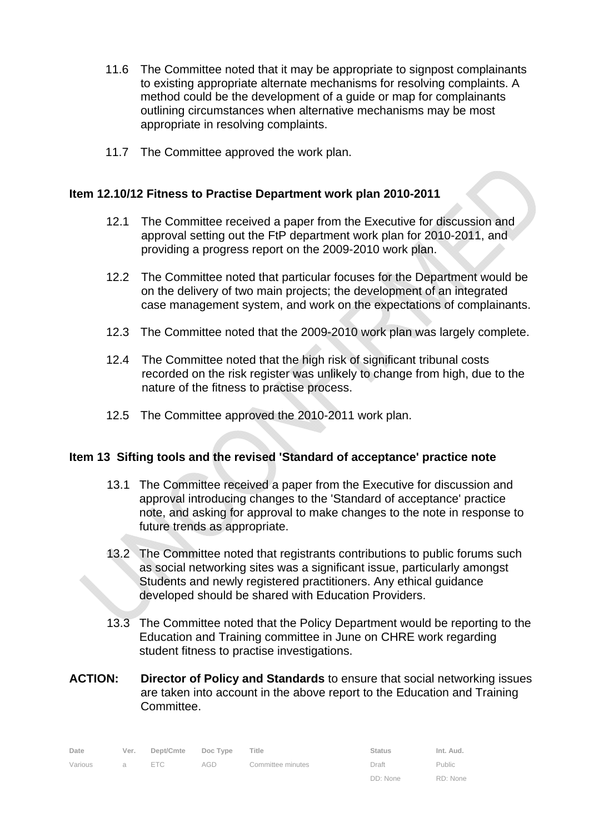- 11.6 The Committee noted that it may be appropriate to signpost complainants to existing appropriate alternate mechanisms for resolving complaints. A method could be the development of a guide or map for complainants outlining circumstances when alternative mechanisms may be most appropriate in resolving complaints.
- 11.7 The Committee approved the work plan.

# **Item 12.10/12 Fitness to Practise Department work plan 2010-2011**

- 12.1 The Committee received a paper from the Executive for discussion and approval setting out the FtP department work plan for 2010-2011, and providing a progress report on the 2009-2010 work plan.
- 12.2 The Committee noted that particular focuses for the Department would be on the delivery of two main projects; the development of an integrated case management system, and work on the expectations of complainants.
- 12.3 The Committee noted that the 2009-2010 work plan was largely complete.
- 12.4 The Committee noted that the high risk of significant tribunal costs recorded on the risk register was unlikely to change from high, due to the nature of the fitness to practise process.
- 12.5 The Committee approved the 2010-2011 work plan.

# **Item 13 Sifting tools and the revised 'Standard of acceptance' practice note**

- 13.1 The Committee received a paper from the Executive for discussion and approval introducing changes to the 'Standard of acceptance' practice note, and asking for approval to make changes to the note in response to future trends as appropriate.
- 13.2 The Committee noted that registrants contributions to public forums such as social networking sites was a significant issue, particularly amongst Students and newly registered practitioners. Any ethical guidance developed should be shared with Education Providers.
- 13.3 The Committee noted that the Policy Department would be reporting to the Education and Training committee in June on CHRE work regarding student fitness to practise investigations.
- **ACTION: Director of Policy and Standards** to ensure that social networking issues are taken into account in the above report to the Education and Training Committee.

| Date    | Ver. | Dept/Cmte Doc Type Title |     |                   | <b>Status</b> | Int. Aud.            |
|---------|------|--------------------------|-----|-------------------|---------------|----------------------|
| Various | a a  | ETC                      | AGD | Committee minutes | Draft         | Public               |
|         |      |                          |     |                   | DD: None      | RD <sup>.</sup> None |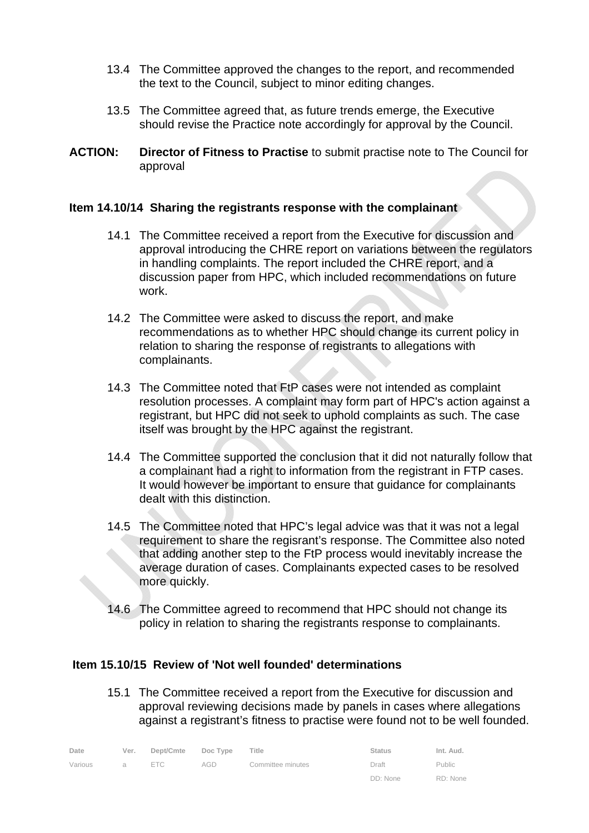- 13.4 The Committee approved the changes to the report, and recommended the text to the Council, subject to minor editing changes.
- 13.5 The Committee agreed that, as future trends emerge, the Executive should revise the Practice note accordingly for approval by the Council.
- **ACTION: Director of Fitness to Practise** to submit practise note to The Council for approval

# **Item 14.10/14 Sharing the registrants response with the complainant**

- 14.1 The Committee received a report from the Executive for discussion and approval introducing the CHRE report on variations between the regulators in handling complaints. The report included the CHRE report, and a discussion paper from HPC, which included recommendations on future work.
- 14.2 The Committee were asked to discuss the report, and make recommendations as to whether HPC should change its current policy in relation to sharing the response of registrants to allegations with complainants.
- 14.3 The Committee noted that FtP cases were not intended as complaint resolution processes. A complaint may form part of HPC's action against a registrant, but HPC did not seek to uphold complaints as such. The case itself was brought by the HPC against the registrant.
- 14.4 The Committee supported the conclusion that it did not naturally follow that a complainant had a right to information from the registrant in FTP cases. It would however be important to ensure that guidance for complainants dealt with this distinction.
- 14.5 The Committee noted that HPC's legal advice was that it was not a legal requirement to share the regisrant's response. The Committee also noted that adding another step to the FtP process would inevitably increase the average duration of cases. Complainants expected cases to be resolved more quickly.
- 14.6 The Committee agreed to recommend that HPC should not change its policy in relation to sharing the registrants response to complainants.

# **Item 15.10/15 Review of 'Not well founded' determinations**

15.1 The Committee received a report from the Executive for discussion and approval reviewing decisions made by panels in cases where allegations against a registrant's fitness to practise were found not to be well founded.

| Date    |                | Ver. Dept/Cmte Doc Type Title |     |                   | <b>Status</b> | Int. Aud.     |
|---------|----------------|-------------------------------|-----|-------------------|---------------|---------------|
| Various | $\overline{a}$ | ETC                           | AGD | Committee minutes | Draft         | <b>Public</b> |
|         |                |                               |     |                   | DD: None      | RD: None      |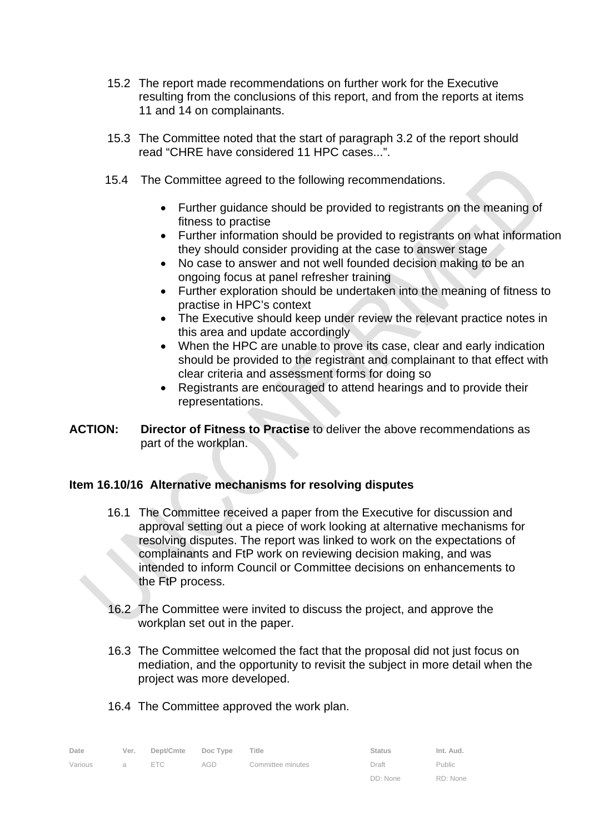- 15.2 The report made recommendations on further work for the Executive resulting from the conclusions of this report, and from the reports at items 11 and 14 on complainants.
- 15.3 The Committee noted that the start of paragraph 3.2 of the report should read "CHRE have considered 11 HPC cases...".
- 15.4 The Committee agreed to the following recommendations.
	- Further guidance should be provided to registrants on the meaning of fitness to practise
	- Further information should be provided to registrants on what information they should consider providing at the case to answer stage
	- No case to answer and not well founded decision making to be an ongoing focus at panel refresher training
	- Further exploration should be undertaken into the meaning of fitness to practise in HPC's context
	- The Executive should keep under review the relevant practice notes in this area and update accordingly
	- When the HPC are unable to prove its case, clear and early indication should be provided to the registrant and complainant to that effect with clear criteria and assessment forms for doing so
	- Registrants are encouraged to attend hearings and to provide their representations.
- **ACTION: Director of Fitness to Practise** to deliver the above recommendations as part of the workplan.

# **Item 16.10/16 Alternative mechanisms for resolving disputes**

- 16.1 The Committee received a paper from the Executive for discussion and approval setting out a piece of work looking at alternative mechanisms for resolving disputes. The report was linked to work on the expectations of complainants and FtP work on reviewing decision making, and was intended to inform Council or Committee decisions on enhancements to the FtP process.
- 16.2 The Committee were invited to discuss the project, and approve the workplan set out in the paper.
- 16.3 The Committee welcomed the fact that the proposal did not just focus on mediation, and the opportunity to revisit the subject in more detail when the project was more developed.
- 16.4 The Committee approved the work plan.

| Date    | Ver.           | Dept/Cmte Doc Type |     | Title             | <b>Status</b> | Int. Aud.     |
|---------|----------------|--------------------|-----|-------------------|---------------|---------------|
| Various | $\overline{a}$ | ETC                | AGD | Committee minutes | Draft         | <b>Public</b> |
|         |                |                    |     |                   | DD: None      | RD: None      |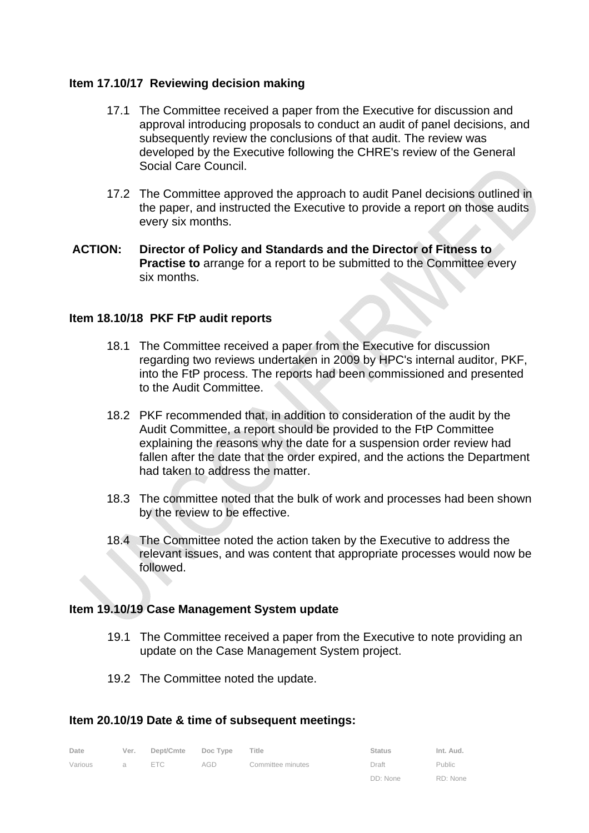# **Item 17.10/17 Reviewing decision making**

- 17.1 The Committee received a paper from the Executive for discussion and approval introducing proposals to conduct an audit of panel decisions, and subsequently review the conclusions of that audit. The review was developed by the Executive following the CHRE's review of the General Social Care Council.
- 17.2 The Committee approved the approach to audit Panel decisions outlined in the paper, and instructed the Executive to provide a report on those audits every six months.
- **ACTION: Director of Policy and Standards and the Director of Fitness to Practise to** arrange for a report to be submitted to the Committee every six months.

#### **Item 18.10/18 PKF FtP audit reports**

- 18.1 The Committee received a paper from the Executive for discussion regarding two reviews undertaken in 2009 by HPC's internal auditor, PKF, into the FtP process. The reports had been commissioned and presented to the Audit Committee.
- 18.2 PKF recommended that, in addition to consideration of the audit by the Audit Committee, a report should be provided to the FtP Committee explaining the reasons why the date for a suspension order review had fallen after the date that the order expired, and the actions the Department had taken to address the matter.
- 18.3 The committee noted that the bulk of work and processes had been shown by the review to be effective.
- 18.4 The Committee noted the action taken by the Executive to address the relevant issues, and was content that appropriate processes would now be followed.

#### **Item 19.10/19 Case Management System update**

- 19.1 The Committee received a paper from the Executive to note providing an update on the Case Management System project.
- 19.2 The Committee noted the update.

#### **Item 20.10/19 Date & time of subsequent meetings:**

| Date    | Ver. | Dept/Cmte Doc Type |     | Title             | <b>Status</b> | Int. Aud. |
|---------|------|--------------------|-----|-------------------|---------------|-----------|
| Various | a a  | ETC                | AGD | Committee minutes | Draft         | Public    |
|         |      |                    |     |                   | DD: None      | RD: None  |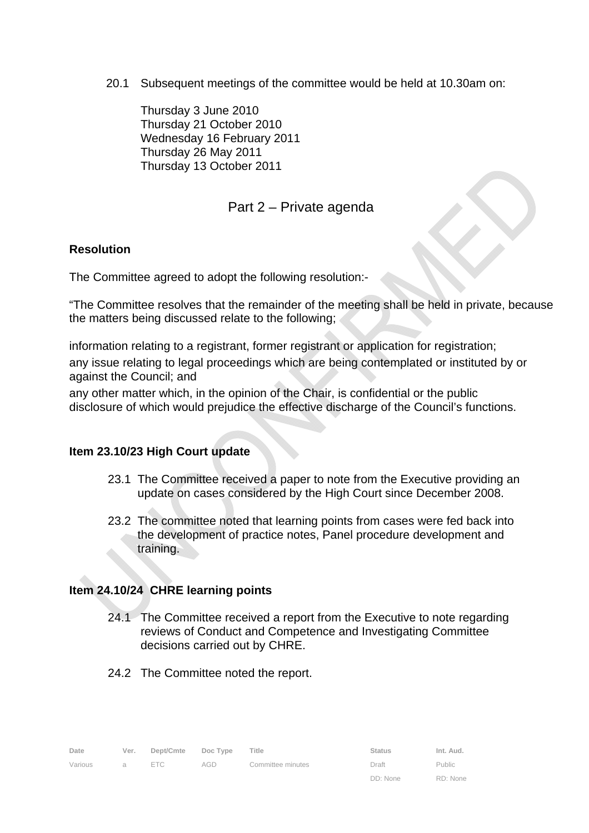20.1 Subsequent meetings of the committee would be held at 10.30am on:

 Thursday 3 June 2010 Thursday 21 October 2010 Wednesday 16 February 2011 Thursday 26 May 2011 Thursday 13 October 2011

# Part 2 – Private agenda

# **Resolution**

The Committee agreed to adopt the following resolution:-

"The Committee resolves that the remainder of the meeting shall be held in private, because the matters being discussed relate to the following;

information relating to a registrant, former registrant or application for registration;

any issue relating to legal proceedings which are being contemplated or instituted by or against the Council; and

any other matter which, in the opinion of the Chair, is confidential or the public disclosure of which would prejudice the effective discharge of the Council's functions.

# **Item 23.10/23 High Court update**

- 23.1 The Committee received a paper to note from the Executive providing an update on cases considered by the High Court since December 2008.
- 23.2 The committee noted that learning points from cases were fed back into the development of practice notes, Panel procedure development and training.

# **Item 24.10/24 CHRE learning points**

24.1 The Committee received a report from the Executive to note regarding reviews of Conduct and Competence and Investigating Committee decisions carried out by CHRE.

DD: None

RD: None

24.2 The Committee noted the report.

| Date    |                | Ver. Dept/Cmte Doc Type Title |     |                   | <b>Status</b> | Int. Aud. |
|---------|----------------|-------------------------------|-----|-------------------|---------------|-----------|
| Various | $\overline{a}$ | FTC.                          | AGD | Committee minutes | Draft         | Public    |